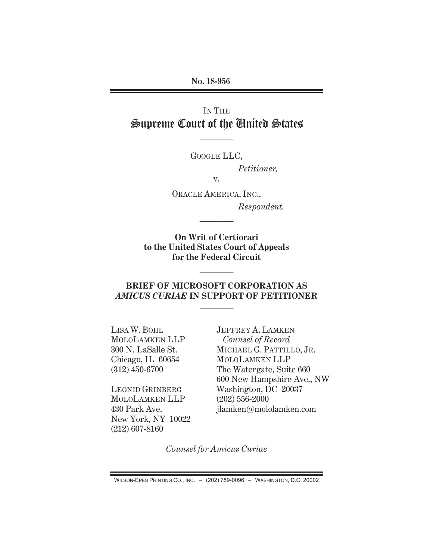**No. 18-956** 

# IN THE Supreme Court of the United States

GOOGLE LLC,

————

*Petitioner,* 

v.

ORACLE AMERICA, INC.,  *Respondent.* 

**On Writ of Certiorari to the United States Court of Appeals for the Federal Circuit** 

————

#### **BRIEF OF MICROSOFT CORPORATION AS**  *AMICUS CURIAE* **IN SUPPORT OF PETITIONER**

————

————

LISA W. BOHL MOLOLAMKEN LLP 300 N. LaSalle St. Chicago, IL 60654 (312) 450-6700

LEONID GRINBERG MOLOLAMKEN LLP 430 Park Ave. New York, NY 10022 (212) 607-8160

JEFFREY A. LAMKEN *Counsel of Record*  MICHAEL G. PATTILLO, JR. MOLOLAMKEN LLP The Watergate, Suite 660 600 New Hampshire Ave., NW Washington, DC 20037 (202) 556-2000 jlamken@mololamken.com

*Counsel for Amicus Curiae* 

 $W$ ILSON-EPES PRINTING CO., INC.  $-$  (202) 789-0096 - WASHINGTON, D.C. 20002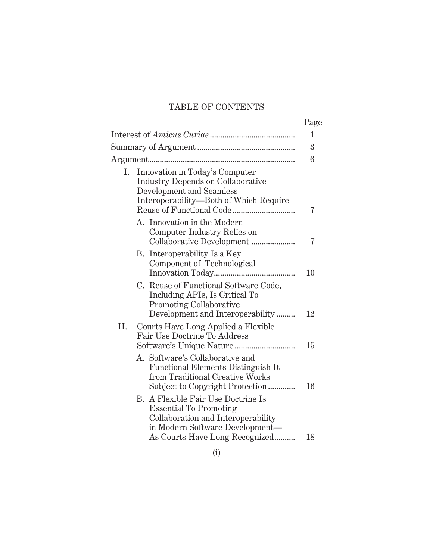## TABLE OF CONTENTS

|     |                                                                                                                                                                                | Page |
|-----|--------------------------------------------------------------------------------------------------------------------------------------------------------------------------------|------|
|     |                                                                                                                                                                                | 1    |
|     |                                                                                                                                                                                | 3    |
|     |                                                                                                                                                                                | 6    |
| Ι.  | Innovation in Today's Computer<br><b>Industry Depends on Collaborative</b><br>Development and Seamless<br>Interoperability-Both of Which Require                               | 7    |
|     | A. Innovation in the Modern<br>Computer Industry Relies on<br>Collaborative Development                                                                                        | 7    |
|     | Interoperability Is a Key<br>В.<br>Component of Technological                                                                                                                  | 10   |
|     | C. Reuse of Functional Software Code,<br>Including APIs, Is Critical To<br>Promoting Collaborative<br>Development and Interoperability                                         | 12   |
| II. | Courts Have Long Applied a Flexible<br>Fair Use Doctrine To Address                                                                                                            | 15   |
|     | A. Software's Collaborative and<br><b>Functional Elements Distinguish It</b><br>from Traditional Creative Works<br>Subject to Copyright Protection                             | 16   |
|     | B. A Flexible Fair Use Doctrine Is<br><b>Essential To Promoting</b><br>Collaboration and Interoperability<br>in Modern Software Development-<br>As Courts Have Long Recognized | 18   |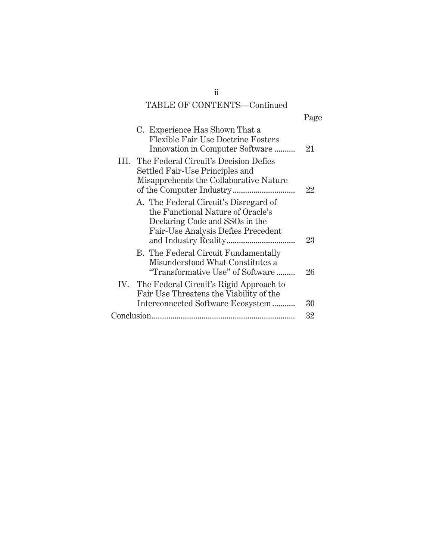## TABLE OF CONTENTS—Continued

|                                                                                                                                                    | Page |
|----------------------------------------------------------------------------------------------------------------------------------------------------|------|
| C. Experience Has Shown That a<br>Flexible Fair Use Doctrine Fosters<br>Innovation in Computer Software                                            | 21   |
| III. The Federal Circuit's Decision Defies<br>Settled Fair-Use Principles and<br>Misapprehends the Collaborative Nature                            | 22   |
| A. The Federal Circuit's Disregard of<br>the Functional Nature of Oracle's<br>Declaring Code and SSOs in the<br>Fair-Use Analysis Defies Precedent | 23   |
| B. The Federal Circuit Fundamentally<br>Misunderstood What Constitutes a<br>"Transformative Use" of Software                                       | 26   |
| IV. The Federal Circuit's Rigid Approach to<br>Fair Use Threatens the Viability of the<br>Interconnected Software Ecosystem                        | 30   |
|                                                                                                                                                    | 32   |
|                                                                                                                                                    |      |

ii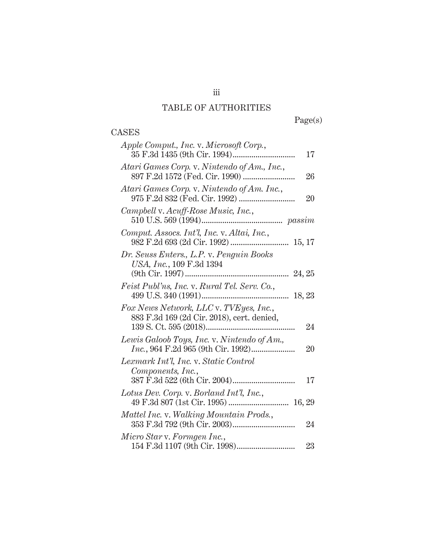# TABLE OF AUTHORITIES

Page(s)

### CASES

| Apple Comput., Inc. v. Microsoft Corp.,<br>17                                              |
|--------------------------------------------------------------------------------------------|
| Atari Games Corp. v. Nintendo of Am., Inc.,<br>26                                          |
| Atari Games Corp. v. Nintendo of Am. Inc.,<br>20                                           |
| Campbell v. Acuff-Rose Music, Inc.,                                                        |
| Comput. Assocs. Int'l, Inc. v. Altai, Inc.,                                                |
| Dr. Seuss Enters., L.P. v. Penguin Books<br>USA, Inc., 109 F.3d 1394                       |
| <i>Feist Publ'ns, Inc. v. Rural Tel. Serv. Co.,</i>                                        |
| Fox News Network, LLC v. TVEyes, Inc.,<br>883 F.3d 169 (2d Cir. 2018), cert. denied,<br>24 |
| Lewis Galoob Toys, Inc. v. Nintendo of Am.,<br>20                                          |
| Lexmark Int'l, Inc. v. Static Control<br>Components, Inc.,<br>17                           |
| Lotus Dev. Corp. v. Borland Int'l, Inc.,                                                   |
| Mattel Inc. v. Walking Mountain Prods.,<br>24                                              |
| Micro Star v. Formgen Inc.,<br>23                                                          |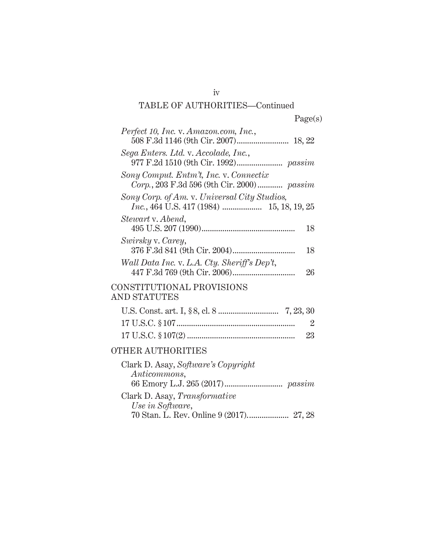| Perfect 10, Inc. v. Amazon.com, Inc.,               |
|-----------------------------------------------------|
| Sega Enters. Ltd. v. Accolade, Inc.,                |
| Sony Comput. Entm't, Inc. v. Connectix              |
| Sony Corp. of Am. v. Universal City Studios,        |
| Stewart v. Abend,<br>18                             |
| Swirsky v. Carey,<br>18                             |
| Wall Data Inc. v. L.A. Cty. Sheriff's Dep't,<br>26  |
| CONSTITUTIONAL PROVISIONS<br><b>AND STATUTES</b>    |
| $\overline{2}$<br>23                                |
| <b>OTHER AUTHORITIES</b>                            |
| Clark D. Asay, Software's Copyright<br>Anticommons, |
| Clark D. Asay, Transformative<br>Use in Software,   |

70 Stan. L. Rev. Online 9 (2017). ................... 27, 28

iv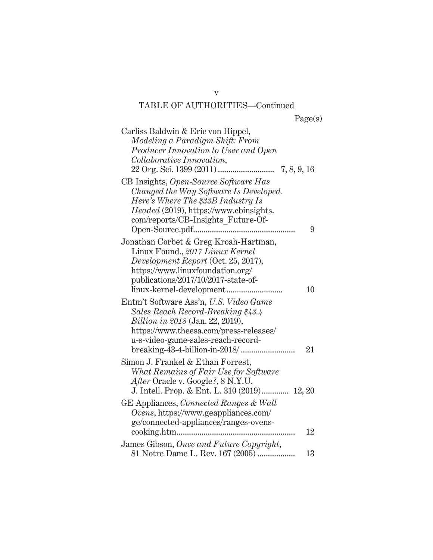| Carliss Baldwin & Eric von Hippel,<br>Modeling a Paradigm Shift: From<br>Producer Innovation to User and Open<br>Collaborative Innovation,                                                                             |    |
|------------------------------------------------------------------------------------------------------------------------------------------------------------------------------------------------------------------------|----|
| CB Insights, Open-Source Software Has<br>Changed the Way Software Is Developed.<br>Here's Where The \$33B Industry Is<br><i>Headed</i> (2019), https://www.cbinsights.<br>com/reports/CB-Insights_Future-Of-           | 9  |
| Jonathan Corbet & Greg Kroah-Hartman,<br>Linux Found., 2017 Linux Kernel<br>Development Report (Oct. 25, 2017),<br>https://www.linuxfoundation.org/<br>publications/2017/10/2017-state-of-<br>linux-kernel-development | 10 |
| Entm't Software Ass'n, U.S. Video Game<br>Sales Reach Record-Breaking \$43.4<br><i>Billion in 2018</i> (Jan. 22, 2019),<br>https://www.theesa.com/press-releases/<br>u-s-video-game-sales-reach-record-                | 21 |
| Simon J. Frankel & Ethan Forrest,<br>What Remains of Fair Use for Software<br>After Oracle v. Google?, 8 N.Y.U.<br>J. Intell. Prop. & Ent. L. 310 (2019) 12, 20                                                        |    |
| GE Appliances, Connected Ranges & Wall<br>Ovens, https://www.geappliances.com/<br>ge/connected-appliances/ranges-ovens-                                                                                                | 12 |
| James Gibson, Once and Future Copyright,<br>81 Notre Dame L. Rev. 167 (2005)                                                                                                                                           | 13 |

v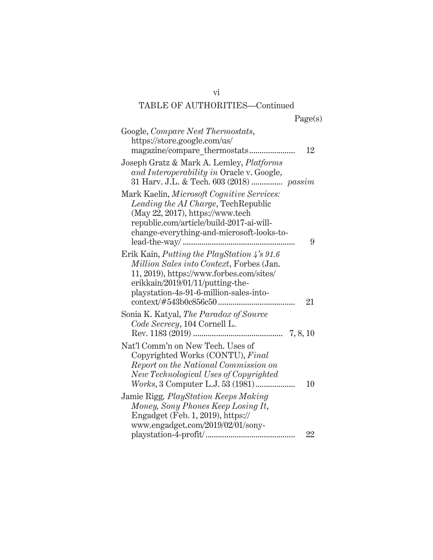| u<br>۰ |
|--------|
|--------|

| Google, <i>Compare Nest Thermostats</i> ,<br>https://store.google.com/us/                                                                                                                                                        | 12 |
|----------------------------------------------------------------------------------------------------------------------------------------------------------------------------------------------------------------------------------|----|
| Joseph Gratz & Mark A. Lemley, <i>Platforms</i><br>and Interoperability in Oracle v. Google,<br>31 Harv. J.L. & Tech. 603 (2018)  passim                                                                                         |    |
| Mark Kaelin, Microsoft Cognitive Services:<br>Leading the AI Charge, Tech Republic<br>(May 22, 2017), https://www.tech<br>republic.com/article/build-2017-ai-will-<br>change-everything-and-microsoft-looks-to-<br>lead-the-way/ | 9  |
| Erik Kain, <i>Putting the PlayStation 4's 91.6</i><br>Million Sales into Context, Forbes (Jan.<br>11, 2019), https://www.forbes.com/sites/<br>erikkain/2019/01/11/putting-the-<br>playstation-4s-91-6-million-sales-into-        | 21 |
| Sonia K. Katyal, <i>The Paradox of Source</i><br>Code Secrecy, 104 Cornell L.                                                                                                                                                    |    |
| Nat'l Comm'n on New Tech. Uses of<br>Copyrighted Works (CONTU), Final<br>Report on the National Commission on<br>New Technological Uses of Copyrighted                                                                           | 10 |
| Jamie Rigg, <i>PlayStation Keeps Making</i><br>Money, Sony Phones Keep Losing It,<br>Engadget (Feb. 1, 2019), https://<br>www.engadget.com/2019/02/01/sony-                                                                      | 22 |

vi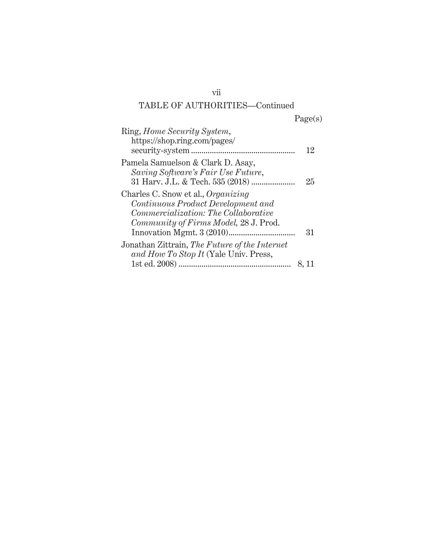| í.<br>U<br>۰. |
|---------------|
|---------------|

| Ring, Home Security System,<br>https://shop.ring.com/pages/                                                                                                      | 12    |
|------------------------------------------------------------------------------------------------------------------------------------------------------------------|-------|
| Pamela Samuelson & Clark D. Asay,<br>Saving Software's Fair Use Future,                                                                                          | 25    |
| Charles C. Snow et al., Organizing<br>Continuous Product Development and<br><i>Commercialization: The Collaborative</i><br>Community of Firms Model, 28 J. Prod. | 31    |
| Jonathan Zittrain, The Future of the Internet<br>and How To Stop It (Yale Univ. Press,                                                                           | 8, 11 |

vii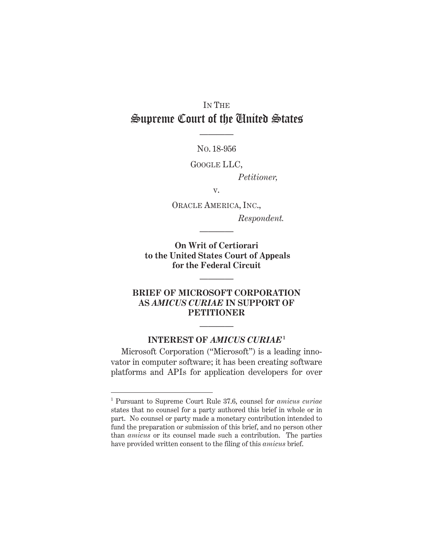# IN THE Supreme Court of the United States

NO. 18-956

————

GOOGLE LLC,

*Petitioner,* 

v.

ORACLE AMERICA, INC.,  *Respondent.* 

**On Writ of Certiorari to the United States Court of Appeals for the Federal Circuit** 

————

————

#### **BRIEF OF MICROSOFT CORPORATION AS** *AMICUS CURIAE* **IN SUPPORT OF PETITIONER**

#### **INTEREST OF** *AMICUS CURIAE***<sup>1</sup>**

————

Microsoft Corporation ("Microsoft") is a leading innovator in computer software; it has been creating software platforms and APIs for application developers for over

 $\overline{a}$ 

<sup>1</sup> Pursuant to Supreme Court Rule 37.6, counsel for *amicus curiae* states that no counsel for a party authored this brief in whole or in part. No counsel or party made a monetary contribution intended to fund the preparation or submission of this brief, and no person other than *amicus* or its counsel made such a contribution. The parties have provided written consent to the filing of this *amicus* brief.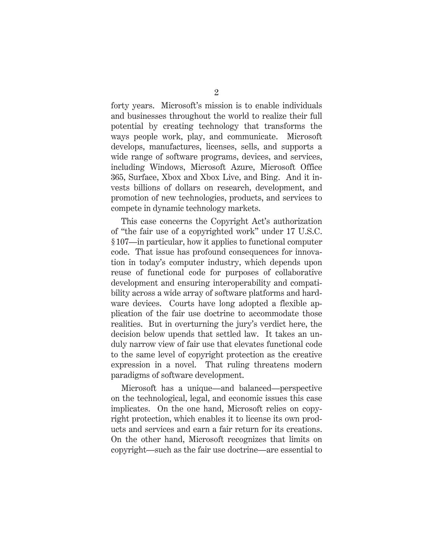forty years. Microsoft's mission is to enable individuals and businesses throughout the world to realize their full potential by creating technology that transforms the ways people work, play, and communicate. Microsoft develops, manufactures, licenses, sells, and supports a wide range of software programs, devices, and services, including Windows, Microsoft Azure, Microsoft Office 365, Surface, Xbox and Xbox Live, and Bing. And it invests billions of dollars on research, development, and promotion of new technologies, products, and services to compete in dynamic technology markets.

This case concerns the Copyright Act's authorization of "the fair use of a copyrighted work" under 17 U.S.C. § 107—in particular, how it applies to functional computer code. That issue has profound consequences for innovation in today's computer industry, which depends upon reuse of functional code for purposes of collaborative development and ensuring interoperability and compatibility across a wide array of software platforms and hardware devices. Courts have long adopted a flexible application of the fair use doctrine to accommodate those realities. But in overturning the jury's verdict here, the decision below upends that settled law. It takes an unduly narrow view of fair use that elevates functional code to the same level of copyright protection as the creative expression in a novel. That ruling threatens modern paradigms of software development.

Microsoft has a unique—and balanced—perspective on the technological, legal, and economic issues this case implicates. On the one hand, Microsoft relies on copyright protection, which enables it to license its own products and services and earn a fair return for its creations. On the other hand, Microsoft recognizes that limits on copyright—such as the fair use doctrine—are essential to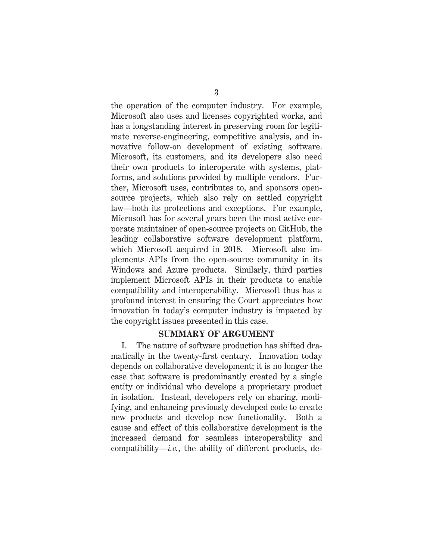the operation of the computer industry. For example, Microsoft also uses and licenses copyrighted works, and has a longstanding interest in preserving room for legitimate reverse-engineering, competitive analysis, and innovative follow-on development of existing software. Microsoft, its customers, and its developers also need their own products to interoperate with systems, platforms, and solutions provided by multiple vendors. Further, Microsoft uses, contributes to, and sponsors opensource projects, which also rely on settled copyright law—both its protections and exceptions. For example, Microsoft has for several years been the most active corporate maintainer of open-source projects on GitHub, the leading collaborative software development platform, which Microsoft acquired in 2018. Microsoft also implements APIs from the open-source community in its Windows and Azure products. Similarly, third parties implement Microsoft APIs in their products to enable compatibility and interoperability. Microsoft thus has a profound interest in ensuring the Court appreciates how innovation in today's computer industry is impacted by the copyright issues presented in this case.

#### **SUMMARY OF ARGUMENT**

I. The nature of software production has shifted dramatically in the twenty-first century. Innovation today depends on collaborative development; it is no longer the case that software is predominantly created by a single entity or individual who develops a proprietary product in isolation. Instead, developers rely on sharing, modifying, and enhancing previously developed code to create new products and develop new functionality. Both a cause and effect of this collaborative development is the increased demand for seamless interoperability and compatibility—*i.e.*, the ability of different products, de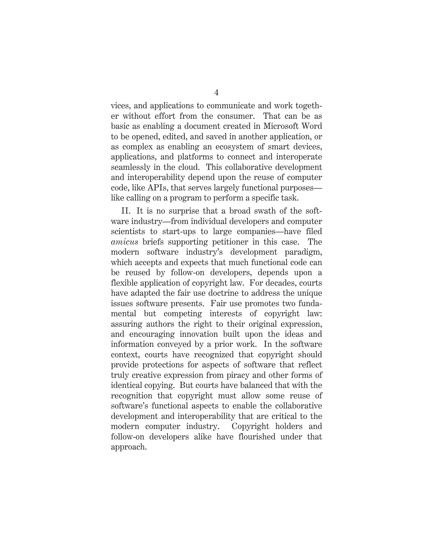vices, and applications to communicate and work together without effort from the consumer. That can be as basic as enabling a document created in Microsoft Word to be opened, edited, and saved in another application, or as complex as enabling an ecosystem of smart devices, applications, and platforms to connect and interoperate seamlessly in the cloud. This collaborative development and interoperability depend upon the reuse of computer code, like APIs, that serves largely functional purposes like calling on a program to perform a specific task.

II. It is no surprise that a broad swath of the software industry—from individual developers and computer scientists to start-ups to large companies—have filed *amicus* briefs supporting petitioner in this case. The modern software industry's development paradigm, which accepts and expects that much functional code can be reused by follow-on developers, depends upon a flexible application of copyright law. For decades, courts have adapted the fair use doctrine to address the unique issues software presents. Fair use promotes two fundamental but competing interests of copyright law: assuring authors the right to their original expression, and encouraging innovation built upon the ideas and information conveyed by a prior work. In the software context, courts have recognized that copyright should provide protections for aspects of software that reflect truly creative expression from piracy and other forms of identical copying. But courts have balanced that with the recognition that copyright must allow some reuse of software's functional aspects to enable the collaborative development and interoperability that are critical to the modern computer industry. Copyright holders and follow-on developers alike have flourished under that approach.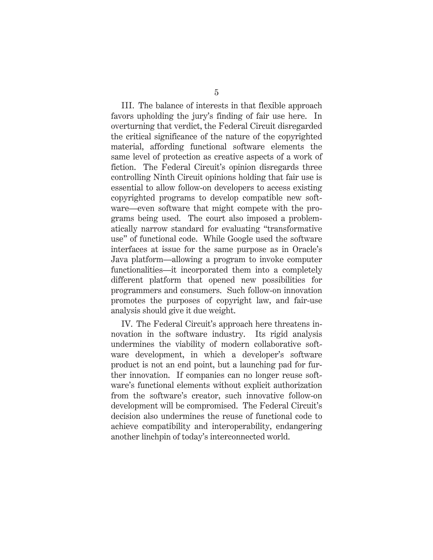III. The balance of interests in that flexible approach favors upholding the jury's finding of fair use here. In overturning that verdict, the Federal Circuit disregarded the critical significance of the nature of the copyrighted material, affording functional software elements the same level of protection as creative aspects of a work of fiction. The Federal Circuit's opinion disregards three controlling Ninth Circuit opinions holding that fair use is essential to allow follow-on developers to access existing copyrighted programs to develop compatible new software—even software that might compete with the programs being used. The court also imposed a problematically narrow standard for evaluating "transformative use" of functional code. While Google used the software interfaces at issue for the same purpose as in Oracle's Java platform—allowing a program to invoke computer functionalities—it incorporated them into a completely different platform that opened new possibilities for programmers and consumers. Such follow-on innovation promotes the purposes of copyright law, and fair-use analysis should give it due weight.

IV. The Federal Circuit's approach here threatens innovation in the software industry. Its rigid analysis undermines the viability of modern collaborative software development, in which a developer's software product is not an end point, but a launching pad for further innovation. If companies can no longer reuse software's functional elements without explicit authorization from the software's creator, such innovative follow-on development will be compromised. The Federal Circuit's decision also undermines the reuse of functional code to achieve compatibility and interoperability, endangering another linchpin of today's interconnected world.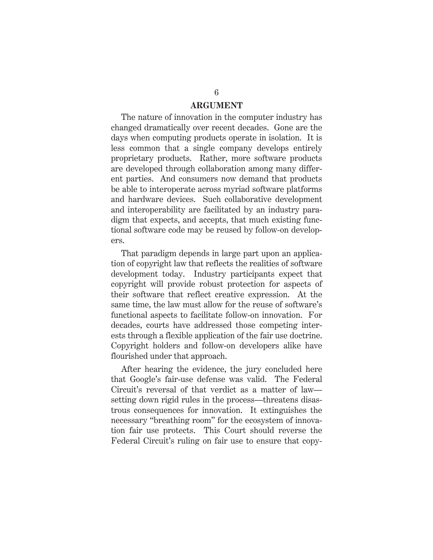#### **ARGUMENT**

The nature of innovation in the computer industry has changed dramatically over recent decades. Gone are the days when computing products operate in isolation. It is less common that a single company develops entirely proprietary products. Rather, more software products are developed through collaboration among many different parties. And consumers now demand that products be able to interoperate across myriad software platforms and hardware devices. Such collaborative development and interoperability are facilitated by an industry paradigm that expects, and accepts, that much existing functional software code may be reused by follow-on developers.

That paradigm depends in large part upon an application of copyright law that reflects the realities of software development today. Industry participants expect that copyright will provide robust protection for aspects of their software that reflect creative expression. At the same time, the law must allow for the reuse of software's functional aspects to facilitate follow-on innovation. For decades, courts have addressed those competing interests through a flexible application of the fair use doctrine. Copyright holders and follow-on developers alike have flourished under that approach.

After hearing the evidence, the jury concluded here that Google's fair-use defense was valid. The Federal Circuit's reversal of that verdict as a matter of law setting down rigid rules in the process—threatens disastrous consequences for innovation. It extinguishes the necessary "breathing room" for the ecosystem of innovation fair use protects. This Court should reverse the Federal Circuit's ruling on fair use to ensure that copy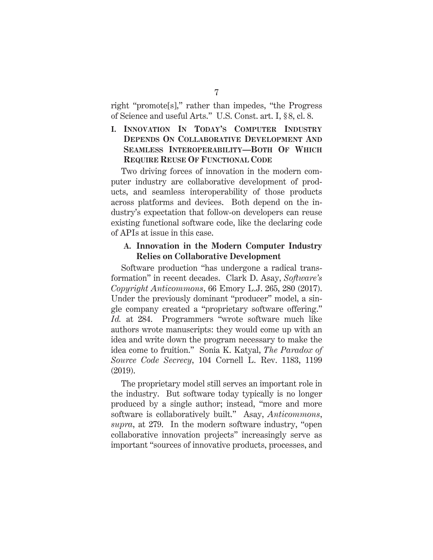right "promote[s]," rather than impedes, "the Progress of Science and useful Arts." U.S. Const. art. I, § 8, cl. 8.

#### **I. INNOVATION IN TODAY'S COMPUTER INDUSTRY DEPENDS ON COLLABORATIVE DEVELOPMENT AND SEAMLESS INTEROPERABILITY—BOTH OF WHICH REQUIRE REUSE OF FUNCTIONAL CODE**

Two driving forces of innovation in the modern computer industry are collaborative development of products, and seamless interoperability of those products across platforms and devices. Both depend on the industry's expectation that follow-on developers can reuse existing functional software code, like the declaring code of APIs at issue in this case.

#### **A. Innovation in the Modern Computer Industry Relies on Collaborative Development**

Software production "has undergone a radical transformation" in recent decades. Clark D. Asay, *Software's Copyright Anticommons*, 66 Emory L.J. 265, 280 (2017). Under the previously dominant "producer" model, a single company created a "proprietary software offering." *Id.* at 284. Programmers "wrote software much like authors wrote manuscripts: they would come up with an idea and write down the program necessary to make the idea come to fruition." Sonia K. Katyal, *The Paradox of Source Code Secrecy*, 104 Cornell L. Rev. 1183, 1199 (2019).

The proprietary model still serves an important role in the industry. But software today typically is no longer produced by a single author; instead, "more and more software is collaboratively built." Asay, *Anticommons*, *supra*, at 279. In the modern software industry, "open collaborative innovation projects" increasingly serve as important "sources of innovative products, processes, and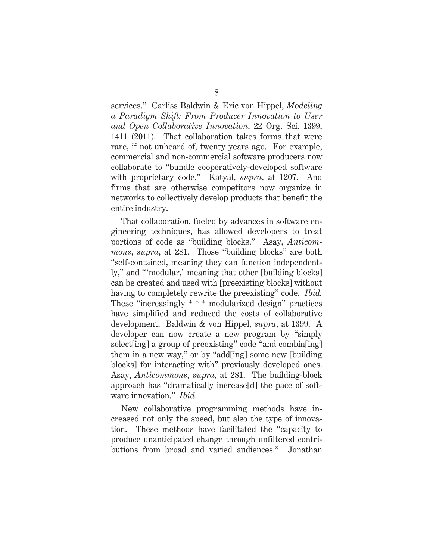services." Carliss Baldwin & Eric von Hippel, *Modeling a Paradigm Shift: From Producer Innovation to User and Open Collaborative Innovation*, 22 Org. Sci. 1399, 1411 (2011). That collaboration takes forms that were rare, if not unheard of, twenty years ago. For example, commercial and non-commercial software producers now collaborate to "bundle cooperatively-developed software with proprietary code." Katyal, *supra*, at 1207. And firms that are otherwise competitors now organize in networks to collectively develop products that benefit the entire industry.

That collaboration, fueled by advances in software engineering techniques, has allowed developers to treat portions of code as "building blocks." Asay, *Anticommons*, *supra*, at 281. Those "building blocks" are both "self-contained, meaning they can function independently," and "'modular,' meaning that other [building blocks] can be created and used with [preexisting blocks] without having to completely rewrite the preexisting" code. *Ibid.* These "increasingly \* \* \* modularized design" practices have simplified and reduced the costs of collaborative development. Baldwin & von Hippel, *supra*, at 1399. A developer can now create a new program by "simply select[ing] a group of preexisting" code "and combin[ing] them in a new way," or by "add[ing] some new [building blocks] for interacting with" previously developed ones. Asay, *Anticommons*, *supra*, at 281. The building-block approach has "dramatically increase[d] the pace of software innovation." *Ibid*.

New collaborative programming methods have increased not only the speed, but also the type of innovation. These methods have facilitated the "capacity to produce unanticipated change through unfiltered contributions from broad and varied audiences." Jonathan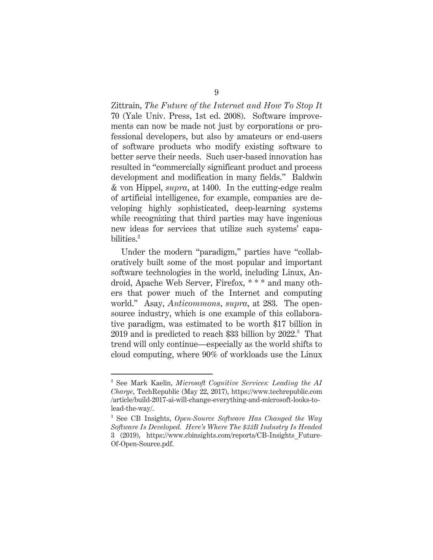Zittrain, *The Future of the Internet and How To Stop It* 70 (Yale Univ. Press, 1st ed. 2008). Software improvements can now be made not just by corporations or professional developers, but also by amateurs or end-users of software products who modify existing software to better serve their needs. Such user-based innovation has resulted in "commercially significant product and process development and modification in many fields." Baldwin & von Hippel, *supra*, at 1400. In the cutting-edge realm of artificial intelligence, for example, companies are developing highly sophisticated, deep-learning systems while recognizing that third parties may have ingenious new ideas for services that utilize such systems' capabilities.<sup>2</sup>

Under the modern "paradigm," parties have "collaboratively built some of the most popular and important software technologies in the world, including Linux, Android, Apache Web Server, Firefox, \* \* \* and many others that power much of the Internet and computing world." Asay, *Anticommons*, *supra*, at 283. The opensource industry, which is one example of this collaborative paradigm, was estimated to be worth \$17 billion in  $2019$  and is predicted to reach \$33 billion by  $2022.^3$  That trend will only continue—especially as the world shifts to cloud computing, where 90% of workloads use the Linux

 $\overline{a}$ 

<sup>2</sup> See Mark Kaelin, *Microsoft Cognitive Services: Leading the AI Charge*, TechRepublic (May 22, 2017), https://www.techrepublic.com /article/build-2017-ai-will-change-everything-and-microsoft-looks-tolead-the-way/.

<sup>3</sup> See CB Insights, *Open-Source Software Has Changed the Way Software Is Developed. Here's Where The \$33B Industry Is Headed* 3 (2019), https://www.cbinsights.com/reports/CB-Insights\_Future-Of-Open-Source.pdf.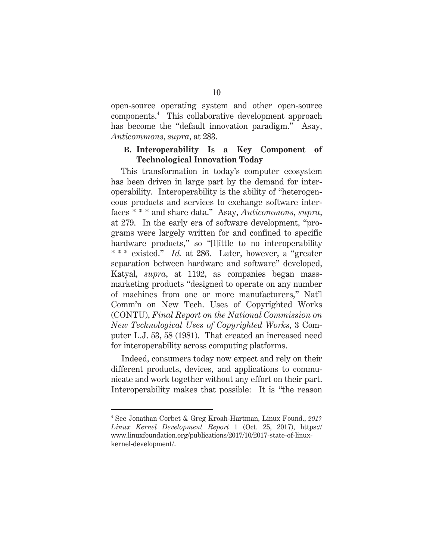open-source operating system and other open-source components.4 This collaborative development approach has become the "default innovation paradigm." Asay, *Anticommons*, *supra*, at 283.

#### **B. Interoperability Is a Key Component of Technological Innovation Today**

This transformation in today's computer ecosystem has been driven in large part by the demand for interoperability. Interoperability is the ability of "heterogeneous products and services to exchange software interfaces \* \* \* and share data." Asay, *Anticommons*, *supra*, at 279. In the early era of software development, "programs were largely written for and confined to specific hardware products," so "[l]ittle to no interoperability \* \* \* existed." *Id.* at 286. Later, however, a "greater separation between hardware and software" developed, Katyal, *supra*, at 1192, as companies began massmarketing products "designed to operate on any number of machines from one or more manufacturers," Nat'l Comm'n on New Tech. Uses of Copyrighted Works (CONTU), *Final Report on the National Commission on New Technological Uses of Copyrighted Works*, 3 Computer L.J. 53, 58 (1981). That created an increased need for interoperability across computing platforms.

Indeed, consumers today now expect and rely on their different products, devices, and applications to communicate and work together without any effort on their part. Interoperability makes that possible: It is "the reason

 $\overline{a}$ 

<sup>4</sup> See Jonathan Corbet & Greg Kroah-Hartman, Linux Found., *2017 Linux Kernel Development Report* 1 (Oct. 25, 2017), https:// www.linuxfoundation.org/publications/2017/10/2017-state-of-linuxkernel-development/.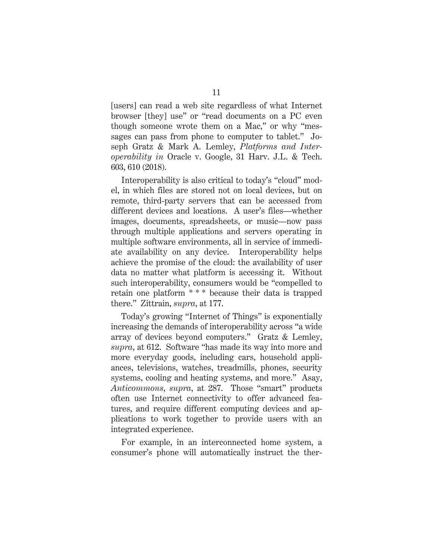[users] can read a web site regardless of what Internet browser [they] use" or "read documents on a PC even though someone wrote them on a Mac," or why "messages can pass from phone to computer to tablet." Joseph Gratz & Mark A. Lemley, *Platforms and Interoperability in* Oracle v. Google, 31 Harv. J.L. & Tech. 603, 610 (2018).

Interoperability is also critical to today's "cloud" model, in which files are stored not on local devices, but on remote, third-party servers that can be accessed from different devices and locations. A user's files—whether images, documents, spreadsheets, or music—now pass through multiple applications and servers operating in multiple software environments, all in service of immediate availability on any device. Interoperability helps achieve the promise of the cloud: the availability of user data no matter what platform is accessing it. Without such interoperability, consumers would be "compelled to retain one platform \* \* \* because their data is trapped there." Zittrain, *supra*, at 177.

Today's growing "Internet of Things" is exponentially increasing the demands of interoperability across "a wide array of devices beyond computers." Gratz & Lemley, *supra*, at 612. Software "has made its way into more and more everyday goods, including cars, household appliances, televisions, watches, treadmills, phones, security systems, cooling and heating systems, and more." Asay, *Anticommons*, *supra*, at 287. Those "smart" products often use Internet connectivity to offer advanced features, and require different computing devices and applications to work together to provide users with an integrated experience.

For example, in an interconnected home system, a consumer's phone will automatically instruct the ther-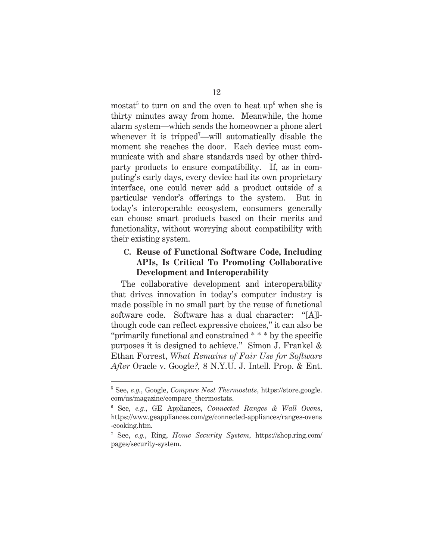mostat<sup>5</sup> to turn on and the oven to heat up<sup>6</sup> when she is thirty minutes away from home. Meanwhile, the home alarm system—which sends the homeowner a phone alert whenever it is tripped<sup>7</sup>—will automatically disable the moment she reaches the door. Each device must communicate with and share standards used by other thirdparty products to ensure compatibility. If, as in computing's early days, every device had its own proprietary interface, one could never add a product outside of a particular vendor's offerings to the system. But in today's interoperable ecosystem, consumers generally can choose smart products based on their merits and functionality, without worrying about compatibility with their existing system.

#### **C. Reuse of Functional Software Code, Including APIs, Is Critical To Promoting Collaborative Development and Interoperability**

The collaborative development and interoperability that drives innovation in today's computer industry is made possible in no small part by the reuse of functional software code. Software has a dual character: "[A]lthough code can reflect expressive choices," it can also be "primarily functional and constrained \* \* \* by the specific purposes it is designed to achieve." Simon J. Frankel & Ethan Forrest, *What Remains of Fair Use for Software After* Oracle v. Google*?,* 8 N.Y.U. J. Intell. Prop. & Ent.

 $\overline{a}$ 

<sup>5</sup> See, *e.g.*, Google, *Compare Nest Thermostats*, https://store.google. com/us/magazine/compare\_thermostats.

<sup>6</sup> See, *e.g.*, GE Appliances, *Connected Ranges & Wall Ovens*, https://www.geappliances.com/ge/connected-appliances/ranges-ovens -cooking.htm.

<sup>7</sup> See, *e.g.*, Ring, *Home Security System*, https://shop.ring.com/ pages/security-system.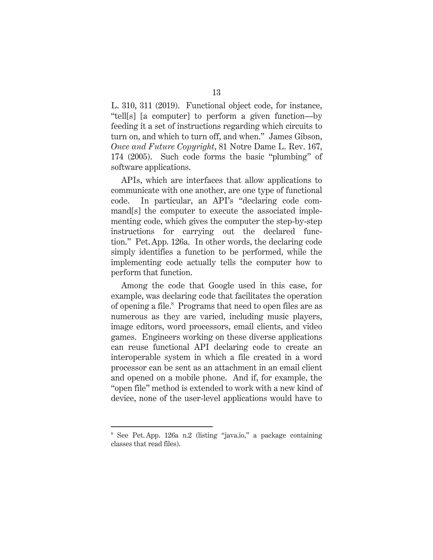L. 310, 311 (2019). Functional object code, for instance, "tell[s] [a computer] to perform a given function—by feeding it a set of instructions regarding which circuits to turn on, and which to turn off, and when." James Gibson, *Once and Future Copyright*, 81 Notre Dame L. Rev. 167, 174 (2005). Such code forms the basic "plumbing" of software applications.

APIs, which are interfaces that allow applications to communicate with one another, are one type of functional code. In particular, an API's "declaring code command[s] the computer to execute the associated implementing code, which gives the computer the step-by-step instructions for carrying out the declared function." Pet. App. 126a. In other words, the declaring code simply identifies a function to be performed, while the implementing code actually tells the computer how to perform that function.

Among the code that Google used in this case, for example, was declaring code that facilitates the operation of opening a file.<sup>8</sup> Programs that need to open files are as numerous as they are varied, including music players, image editors, word processors, email clients, and video games. Engineers working on these diverse applications can reuse functional API declaring code to create an interoperable system in which a file created in a word processor can be sent as an attachment in an email client and opened on a mobile phone. And if, for example, the "open file" method is extended to work with a new kind of device, none of the user-level applications would have to

-

<sup>8</sup> See Pet. App. 126a n.2 (listing "java.io," a package containing classes that read files).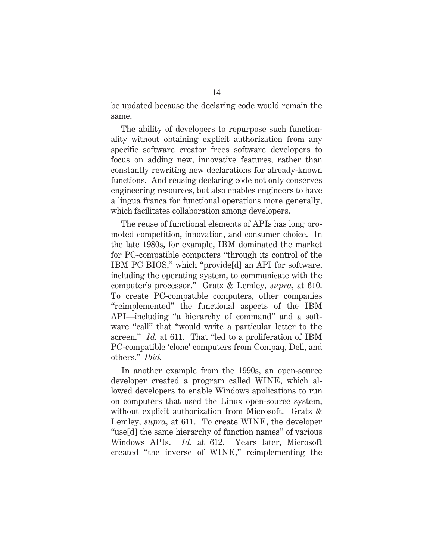be updated because the declaring code would remain the same.

The ability of developers to repurpose such functionality without obtaining explicit authorization from any specific software creator frees software developers to focus on adding new, innovative features, rather than constantly rewriting new declarations for already-known functions. And reusing declaring code not only conserves engineering resources, but also enables engineers to have a lingua franca for functional operations more generally, which facilitates collaboration among developers.

The reuse of functional elements of APIs has long promoted competition, innovation, and consumer choice. In the late 1980s, for example, IBM dominated the market for PC-compatible computers "through its control of the IBM PC BIOS," which "provide[d] an API for software, including the operating system, to communicate with the computer's processor." Gratz & Lemley, *supra*, at 610. To create PC-compatible computers, other companies "reimplemented" the functional aspects of the IBM API—including "a hierarchy of command" and a software "call" that "would write a particular letter to the screen." *Id.* at 611. That "led to a proliferation of IBM PC-compatible 'clone' computers from Compaq, Dell, and others." *Ibid.*

In another example from the 1990s, an open-source developer created a program called WINE, which allowed developers to enable Windows applications to run on computers that used the Linux open-source system, without explicit authorization from Microsoft. Gratz & Lemley, *supra*, at 611. To create WINE, the developer "use[d] the same hierarchy of function names" of various Windows APIs. *Id.* at 612. Years later, Microsoft created "the inverse of WINE," reimplementing the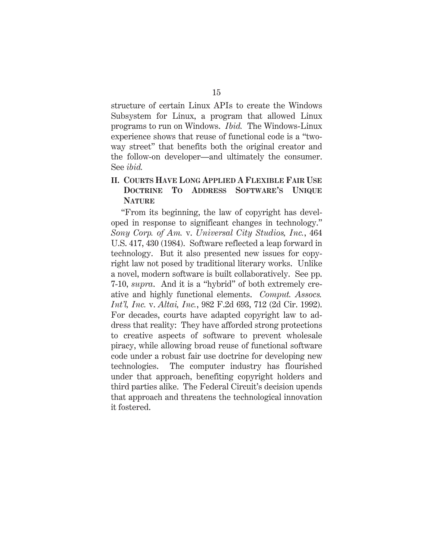structure of certain Linux APIs to create the Windows Subsystem for Linux, a program that allowed Linux programs to run on Windows. *Ibid.* The Windows-Linux experience shows that reuse of functional code is a "twoway street" that benefits both the original creator and the follow-on developer—and ultimately the consumer. See *ibid.*

#### **II. COURTS HAVE LONG APPLIED A FLEXIBLE FAIR USE DOCTRINE TO ADDRESS SOFTWARE'S UNIQUE NATURE**

"From its beginning, the law of copyright has developed in response to significant changes in technology." *Sony Corp. of Am.* v. *Universal City Studios, Inc.*, 464 U.S. 417, 430 (1984). Software reflected a leap forward in technology. But it also presented new issues for copyright law not posed by traditional literary works. Unlike a novel, modern software is built collaboratively. See pp. 7-10, *supra*. And it is a "hybrid" of both extremely creative and highly functional elements. *Comput. Assocs. Int'l, Inc.* v. *Altai, Inc.*, 982 F.2d 693, 712 (2d Cir. 1992). For decades, courts have adapted copyright law to address that reality: They have afforded strong protections to creative aspects of software to prevent wholesale piracy, while allowing broad reuse of functional software code under a robust fair use doctrine for developing new technologies. The computer industry has flourished under that approach, benefiting copyright holders and third parties alike. The Federal Circuit's decision upends that approach and threatens the technological innovation it fostered.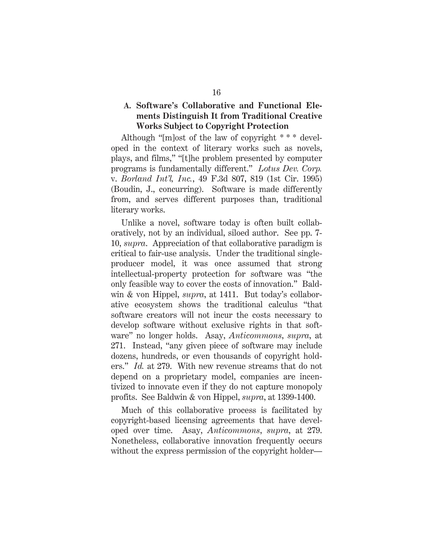#### **A. Software's Collaborative and Functional Elements Distinguish It from Traditional Creative Works Subject to Copyright Protection**

Although "[m]ost of the law of copyright \* \* \* developed in the context of literary works such as novels, plays, and films," "[t]he problem presented by computer programs is fundamentally different." *Lotus Dev. Corp.*  v. *Borland Int'l, Inc.*, 49 F.3d 807, 819 (1st Cir. 1995) (Boudin, J., concurring). Software is made differently from, and serves different purposes than, traditional literary works.

Unlike a novel, software today is often built collaboratively, not by an individual, siloed author. See pp. 7- 10, *supra*. Appreciation of that collaborative paradigm is critical to fair-use analysis. Under the traditional singleproducer model, it was once assumed that strong intellectual-property protection for software was "the only feasible way to cover the costs of innovation." Baldwin & von Hippel, *supra*, at 1411. But today's collaborative ecosystem shows the traditional calculus "that software creators will not incur the costs necessary to develop software without exclusive rights in that software" no longer holds. Asay, *Anticommons*, *supra*, at 271. Instead, "any given piece of software may include dozens, hundreds, or even thousands of copyright holders." *Id.* at 279. With new revenue streams that do not depend on a proprietary model, companies are incentivized to innovate even if they do not capture monopoly profits. See Baldwin & von Hippel, *supra*, at 1399-1400.

Much of this collaborative process is facilitated by copyright-based licensing agreements that have developed over time. Asay, *Anticommons*, *supra*, at 279. Nonetheless, collaborative innovation frequently occurs without the express permission of the copyright holder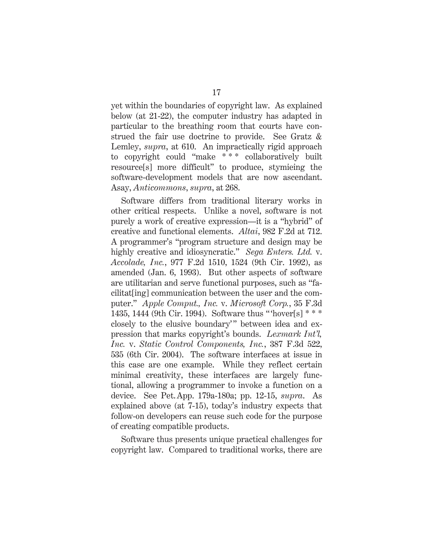yet within the boundaries of copyright law. As explained below (at 21-22), the computer industry has adapted in particular to the breathing room that courts have construed the fair use doctrine to provide. See Gratz & Lemley, *supra*, at 610. An impractically rigid approach to copyright could "make \*\*\* collaboratively built resource[s] more difficult" to produce, stymieing the software-development models that are now ascendant. Asay, *Anticommons*, *supra*, at 268.

Software differs from traditional literary works in other critical respects. Unlike a novel, software is not purely a work of creative expression—it is a "hybrid" of creative and functional elements. *Altai*, 982 F.2d at 712. A programmer's "program structure and design may be highly creative and idiosyncratic." *Sega Enters. Ltd.* v. *Accolade, Inc.*, 977 F.2d 1510, 1524 (9th Cir. 1992), as amended (Jan. 6, 1993). But other aspects of software are utilitarian and serve functional purposes, such as "facilitat[ing] communication between the user and the computer." *Apple Comput., Inc.* v. *Microsoft Corp.*, 35 F.3d 1435, 1444 (9th Cir. 1994). Software thus " 'hover[s] \* \* \* closely to the elusive boundary'" between idea and expression that marks copyright's bounds. *Lexmark Int'l, Inc.* v. *Static Control Components, Inc.*, 387 F.3d 522, 535 (6th Cir. 2004). The software interfaces at issue in this case are one example. While they reflect certain minimal creativity, these interfaces are largely functional, allowing a programmer to invoke a function on a device. See Pet.App. 179a-180a; pp. 12-15, *supra*. As explained above (at 7-15), today's industry expects that follow-on developers can reuse such code for the purpose of creating compatible products.

Software thus presents unique practical challenges for copyright law. Compared to traditional works, there are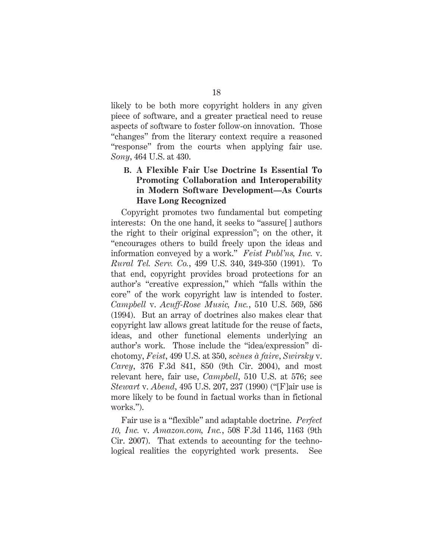likely to be both more copyright holders in any given piece of software, and a greater practical need to reuse aspects of software to foster follow-on innovation. Those "changes" from the literary context require a reasoned "response" from the courts when applying fair use. *Sony*, 464 U.S. at 430.

#### **B. A Flexible Fair Use Doctrine Is Essential To Promoting Collaboration and Interoperability in Modern Software Development—As Courts Have Long Recognized**

Copyright promotes two fundamental but competing interests: On the one hand, it seeks to "assure[] authors the right to their original expression"; on the other, it "encourages others to build freely upon the ideas and information conveyed by a work." *Feist Publ'ns, Inc.* v. *Rural Tel. Serv. Co.*, 499 U.S. 340, 349-350 (1991). To that end, copyright provides broad protections for an author's "creative expression," which "falls within the core" of the work copyright law is intended to foster. *Campbell* v. *Acuff-Rose Music, Inc.*, 510 U.S. 569, 586 (1994). But an array of doctrines also makes clear that copyright law allows great latitude for the reuse of facts, ideas, and other functional elements underlying an author's work. Those include the "idea/expression" dichotomy, *Feist*, 499 U.S. at 350, *scènes à faire*, *Swirsky* v. *Carey*, 376 F.3d 841, 850 (9th Cir. 2004), and most relevant here, fair use, *Campbell*, 510 U.S. at 576; see *Stewart* v. *Abend*, 495 U.S. 207, 237 (1990) ("[F]air use is more likely to be found in factual works than in fictional works.").

Fair use is a "flexible" and adaptable doctrine. *Perfect 10, Inc.* v. *Amazon.com, Inc.*, 508 F.3d 1146, 1163 (9th Cir. 2007). That extends to accounting for the technological realities the copyrighted work presents. See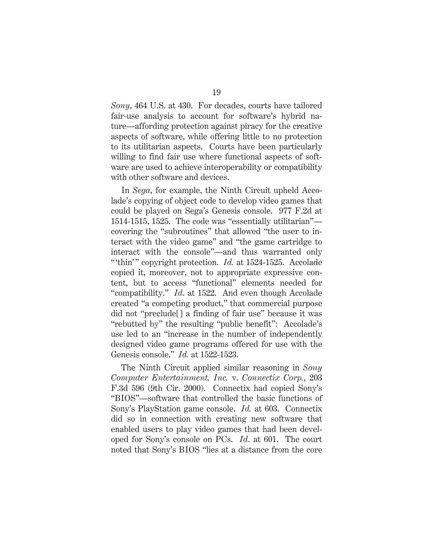*Sony*, 464 U.S. at 430. For decades, courts have tailored fair-use analysis to account for software's hybrid nature—affording protection against piracy for the creative aspects of software, while offering little to no protection to its utilitarian aspects. Courts have been particularly willing to find fair use where functional aspects of software are used to achieve interoperability or compatibility with other software and devices.

In *Sega*, for example, the Ninth Circuit upheld Accolade's copying of object code to develop video games that could be played on Sega's Genesis console. 977 F.2d at 1514-1515, 1525. The code was "essentially utilitarian" covering the "subroutines" that allowed "the user to interact with the video game" and "the game cartridge to interact with the console"—and thus warranted only " thin'" copyright protection. *Id.* at 1524-1525. Accolade copied it, moreover, not to appropriate expressive content, but to access "functional" elements needed for "compatibility." *Id*. at 1522. And even though Accolade created "a competing product," that commercial purpose did not "preclude[] a finding of fair use" because it was "rebutted by" the resulting "public benefit": Accolade's use led to an "increase in the number of independently designed video game programs offered for use with the Genesis console." *Id.* at 1522-1523.

The Ninth Circuit applied similar reasoning in *Sony Computer Entertainment, Inc.* v. *Connectix Corp.*, 203 F.3d 596 (9th Cir. 2000). Connectix had copied Sony's "BIOS"—software that controlled the basic functions of Sony's PlayStation game console. *Id.* at 603. Connectix did so in connection with creating new software that enabled users to play video games that had been developed for Sony's console on PCs. *Id*. at 601. The court noted that Sony's BIOS "lies at a distance from the core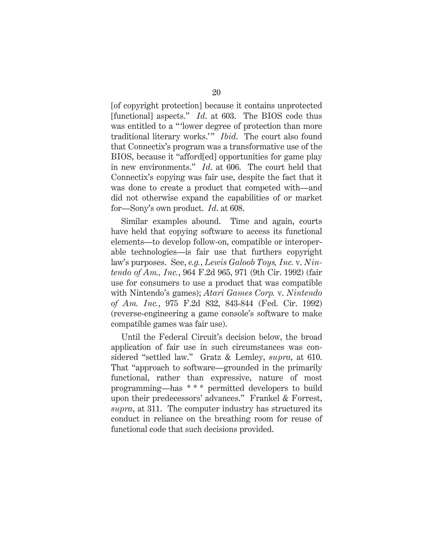[of copyright protection] because it contains unprotected [functional] aspects." *Id*. at 603. The BIOS code thus was entitled to a "'lower degree of protection than more traditional literary works.'" *Ibid*. The court also found that Connectix's program was a transformative use of the BIOS, because it "afford[ed] opportunities for game play in new environments." *Id*. at 606. The court held that Connectix's copying was fair use, despite the fact that it was done to create a product that competed with—and did not otherwise expand the capabilities of or market for—Sony's own product. *Id*. at 608.

Similar examples abound. Time and again, courts have held that copying software to access its functional elements—to develop follow-on, compatible or interoperable technologies—is fair use that furthers copyright law's purposes. See, *e.g.*, *Lewis Galoob Toys, Inc.* v. *Nintendo of Am., Inc.*, 964 F.2d 965, 971 (9th Cir. 1992) (fair use for consumers to use a product that was compatible with Nintendo's games); *Atari Games Corp.* v. *Nintendo of Am. Inc.*, 975 F.2d 832, 843-844 (Fed. Cir. 1992) (reverse-engineering a game console's software to make compatible games was fair use).

Until the Federal Circuit's decision below, the broad application of fair use in such circumstances was considered "settled law." Gratz & Lemley, *supra*, at 610. That "approach to software—grounded in the primarily functional, rather than expressive, nature of most programming—has \* \* \* permitted developers to build upon their predecessors' advances." Frankel & Forrest, *supra*, at 311. The computer industry has structured its conduct in reliance on the breathing room for reuse of functional code that such decisions provided.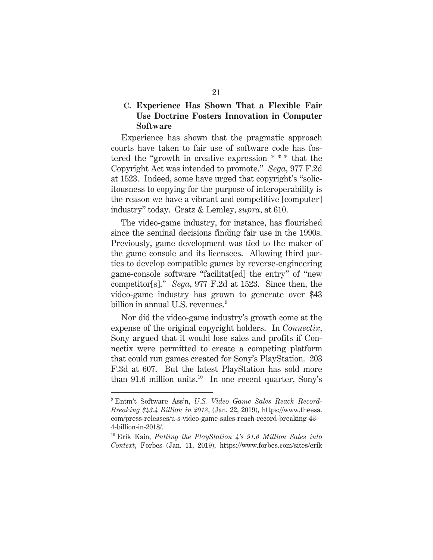#### **C. Experience Has Shown That a Flexible Fair Use Doctrine Fosters Innovation in Computer Software**

Experience has shown that the pragmatic approach courts have taken to fair use of software code has fostered the "growth in creative expression \* \* \* that the Copyright Act was intended to promote." *Sega*, 977 F.2d at 1523. Indeed, some have urged that copyright's "solicitousness to copying for the purpose of interoperability is the reason we have a vibrant and competitive [computer] industry" today. Gratz & Lemley, *supra*, at 610.

The video-game industry, for instance, has flourished since the seminal decisions finding fair use in the 1990s. Previously, game development was tied to the maker of the game console and its licensees. Allowing third parties to develop compatible games by reverse-engineering game-console software "facilitat[ed] the entry" of "new competitor[s]." *Sega*, 977 F.2d at 1523. Since then, the video-game industry has grown to generate over \$43 billion in annual U.S. revenues. $9$ 

Nor did the video-game industry's growth come at the expense of the original copyright holders. In *Connectix*, Sony argued that it would lose sales and profits if Connectix were permitted to create a competing platform that could run games created for Sony's PlayStation. 203 F.3d at 607. But the latest PlayStation has sold more than  $91.6$  million units.<sup>10</sup> In one recent quarter, Sony's

-

<sup>9</sup> Entm't Software Ass'n, *U.S. Video Game Sales Reach Record-Breaking \$43.4 Billion in 2018*, (Jan. 22, 2019), https://www.theesa. com/press-releases/u-s-video-game-sales-reach-record-breaking-43- 4-billion-in-2018/.

<sup>10</sup> Erik Kain, *Putting the PlayStation 4's 91.6 Million Sales into Context*, Forbes (Jan. 11, 2019), https://www.forbes.com/sites/erik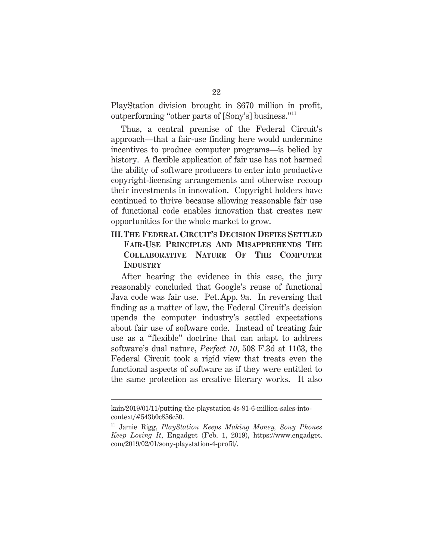PlayStation division brought in \$670 million in profit, outperforming "other parts of [Sony's] business."11

Thus, a central premise of the Federal Circuit's approach—that a fair-use finding here would undermine incentives to produce computer programs—is belied by history. A flexible application of fair use has not harmed the ability of software producers to enter into productive copyright-licensing arrangements and otherwise recoup their investments in innovation. Copyright holders have continued to thrive because allowing reasonable fair use of functional code enables innovation that creates new opportunities for the whole market to grow.

#### **III.THE FEDERAL CIRCUIT'S DECISION DEFIES SETTLED FAIR-USE PRINCIPLES AND MISAPPREHENDS THE COLLABORATIVE NATURE OF THE COMPUTER INDUSTRY**

After hearing the evidence in this case, the jury reasonably concluded that Google's reuse of functional Java code was fair use. Pet.App. 9a. In reversing that finding as a matter of law, the Federal Circuit's decision upends the computer industry's settled expectations about fair use of software code.Instead of treating fair use as a "flexible" doctrine that can adapt to address software's dual nature, *Perfect 10*, 508 F.3d at 1163, the Federal Circuit took a rigid view that treats even the functional aspects of software as if they were entitled to the same protection as creative literary works. It also

 $\overline{a}$ 

kain/2019/01/11/putting-the-playstation-4s-91-6-million-sales-intocontext/#543b0c856c50.

<sup>11</sup> Jamie Rigg, *PlayStation Keeps Making Money, Sony Phones Keep Losing It*, Engadget (Feb. 1, 2019), https://www.engadget. com/2019/02/01/sony-playstation-4-profit/.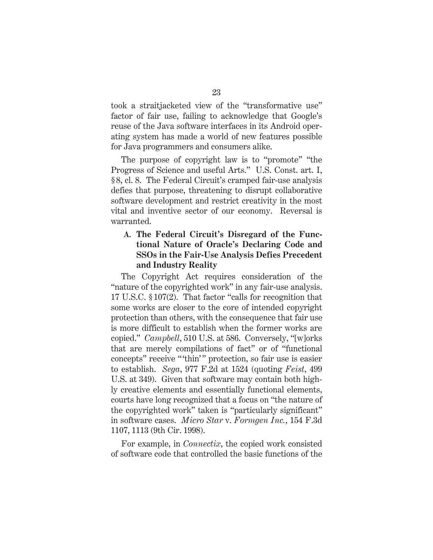took a straitjacketed view of the "transformative use" factor of fair use, failing to acknowledge that Google's reuse of the Java software interfaces in its Android operating system has made a world of new features possible for Java programmers and consumers alike.

The purpose of copyright law is to "promote" "the Progress of Science and useful Arts." U.S. Const. art. I, § 8, cl. 8. The Federal Circuit's cramped fair-use analysis defies that purpose, threatening to disrupt collaborative software development and restrict creativity in the most vital and inventive sector of our economy. Reversal is warranted.

#### **A. The Federal Circuit's Disregard of the Functional Nature of Oracle's Declaring Code and SSOs in the Fair-Use Analysis Defies Precedent and Industry Reality**

The Copyright Act requires consideration of the "nature of the copyrighted work" in any fair-use analysis. 17 U.S.C. § 107(2). That factor "calls for recognition that some works are closer to the core of intended copyright protection than others, with the consequence that fair use is more difficult to establish when the former works are copied." *Campbell*, 510 U.S. at 586. Conversely, "[w]orks that are merely compilations of fact" or of "functional concepts" receive "" thin" protection, so fair use is easier to establish. *Sega*, 977 F.2d at 1524 (quoting *Feist*, 499 U.S. at 349). Given that software may contain both highly creative elements and essentially functional elements, courts have long recognized that a focus on "the nature of the copyrighted work" taken is "particularly significant" in software cases. *Micro Star* v. *Formgen Inc.*, 154 F.3d 1107, 1113 (9th Cir. 1998).

For example, in *Connectix*, the copied work consisted of software code that controlled the basic functions of the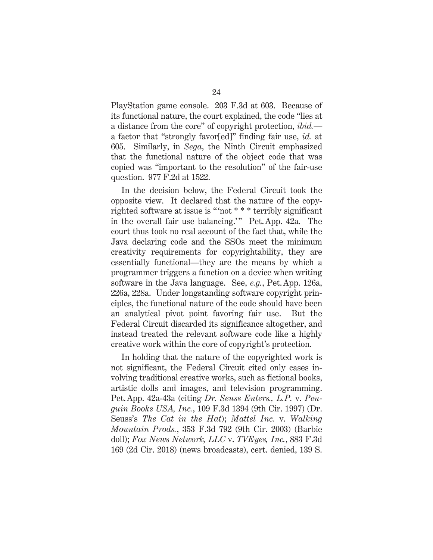PlayStation game console. 203 F.3d at 603. Because of its functional nature, the court explained, the code "lies at a distance from the core" of copyright protection, *ibid.* a factor that "strongly favor[ed]" finding fair use, *id.* at 605. Similarly, in *Sega*, the Ninth Circuit emphasized that the functional nature of the object code that was copied was "important to the resolution" of the fair-use question. 977 F.2d at 1522.

In the decision below, the Federal Circuit took the opposite view. It declared that the nature of the copyrighted software at issue is " 'not \* \* \* terribly significant in the overall fair use balancing.'" Pet. App. 42a. The court thus took no real account of the fact that, while the Java declaring code and the SSOs meet the minimum creativity requirements for copyrightability, they are essentially functional—they are the means by which a programmer triggers a function on a device when writing software in the Java language. See, *e.g.*, Pet.App. 126a, 226a, 228a. Under longstanding software copyright principles, the functional nature of the code should have been an analytical pivot point favoring fair use. But the Federal Circuit discarded its significance altogether, and instead treated the relevant software code like a highly creative work within the core of copyright's protection.

In holding that the nature of the copyrighted work is not significant, the Federal Circuit cited only cases involving traditional creative works, such as fictional books, artistic dolls and images, and television programming. Pet.App. 42a-43a (citing *Dr. Seuss Enters., L.P.* v. *Penguin Books USA, Inc.*, 109 F.3d 1394 (9th Cir. 1997) (Dr. Seuss's *The Cat in the Hat*); *Mattel Inc.* v. *Walking Mountain Prods.*, 353 F.3d 792 (9th Cir. 2003) (Barbie doll); *Fox News Network, LLC* v. *TVEyes, Inc.*, 883 F.3d 169 (2d Cir. 2018) (news broadcasts), cert. denied, 139 S.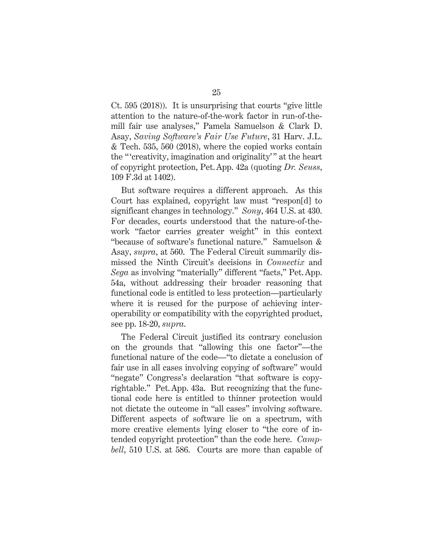Ct. 595 (2018)). It is unsurprising that courts "give little attention to the nature-of-the-work factor in run-of-themill fair use analyses," Pamela Samuelson & Clark D. Asay, *Saving Software's Fair Use Future*, 31 Harv. J.L. & Tech. 535, 560 (2018), where the copied works contain the " 'creativity, imagination and originality' " at the heart of copyright protection, Pet.App. 42a (quoting *Dr. Seuss*, 109 F.3d at 1402).

But software requires a different approach. As this Court has explained, copyright law must "respon[d] to significant changes in technology." *Sony*, 464 U.S. at 430. For decades, courts understood that the nature-of-thework "factor carries greater weight" in this context "because of software's functional nature." Samuelson & Asay, *supra*, at 560. The Federal Circuit summarily dismissed the Ninth Circuit's decisions in *Connectix* and *Sega* as involving "materially" different "facts," Pet.App. 54a, without addressing their broader reasoning that functional code is entitled to less protection—particularly where it is reused for the purpose of achieving interoperability or compatibility with the copyrighted product, see pp. 18-20, *supra*.

The Federal Circuit justified its contrary conclusion on the grounds that "allowing this one factor"—the functional nature of the code—"to dictate a conclusion of fair use in all cases involving copying of software" would "negate" Congress's declaration "that software is copyrightable." Pet.App. 43a. But recognizing that the functional code here is entitled to thinner protection would not dictate the outcome in "all cases" involving software. Different aspects of software lie on a spectrum, with more creative elements lying closer to "the core of intended copyright protection" than the code here. *Campbell*, 510 U.S. at 586. Courts are more than capable of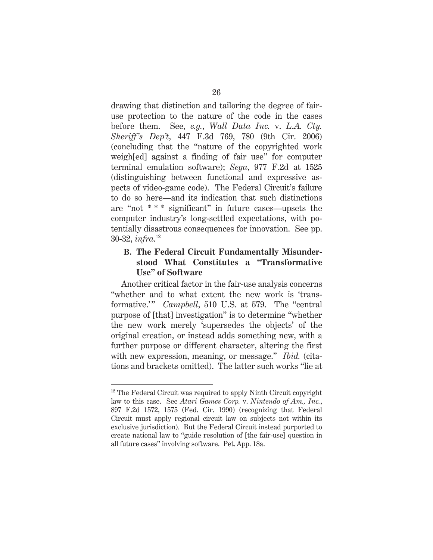drawing that distinction and tailoring the degree of fairuse protection to the nature of the code in the cases before them. See, *e.g.*, *Wall Data Inc.* v. *L.A. Cty. Sheriff's Dep't*, 447 F.3d 769, 780 (9th Cir. 2006) (concluding that the "nature of the copyrighted work weigh[ed] against a finding of fair use" for computer terminal emulation software); *Sega*, 977 F.2d at 1525 (distinguishing between functional and expressive aspects of video-game code). The Federal Circuit's failure to do so here—and its indication that such distinctions are "not \* \* \* significant" in future cases—upsets the computer industry's long-settled expectations, with potentially disastrous consequences for innovation. See pp. 30-32, *infra*. 12

#### **B. The Federal Circuit Fundamentally Misunderstood What Constitutes a "Transformative Use" of Software**

Another critical factor in the fair-use analysis concerns "whether and to what extent the new work is 'transformative.'" *Campbell*, 510 U.S. at 579. The "central" purpose of [that] investigation" is to determine "whether the new work merely 'supersedes the objects' of the original creation, or instead adds something new, with a further purpose or different character, altering the first with new expression, meaning, or message." *Ibid.* (citations and brackets omitted). The latter such works "lie at

 $\overline{a}$ 

 $12$  The Federal Circuit was required to apply Ninth Circuit copyright law to this case. See *Atari Games Corp.* v. *Nintendo of Am., Inc.*, 897 F.2d 1572, 1575 (Fed. Cir. 1990) (recognizing that Federal Circuit must apply regional circuit law on subjects not within its exclusive jurisdiction). But the Federal Circuit instead purported to create national law to "guide resolution of [the fair-use] question in all future cases" involving software. Pet. App. 18a.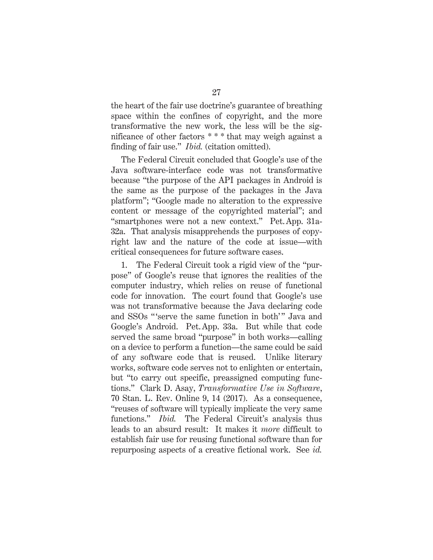the heart of the fair use doctrine's guarantee of breathing space within the confines of copyright, and the more transformative the new work, the less will be the significance of other factors \* \* \* that may weigh against a finding of fair use." *Ibid.* (citation omitted).

The Federal Circuit concluded that Google's use of the Java software-interface code was not transformative because "the purpose of the API packages in Android is the same as the purpose of the packages in the Java platform"; "Google made no alteration to the expressive content or message of the copyrighted material"; and "smartphones were not a new context." Pet.App. 31a-32a. That analysis misapprehends the purposes of copyright law and the nature of the code at issue—with critical consequences for future software cases.

1. The Federal Circuit took a rigid view of the "purpose" of Google's reuse that ignores the realities of the computer industry, which relies on reuse of functional code for innovation. The court found that Google's use was not transformative because the Java declaring code and SSOs "'serve the same function in both'" Java and Google's Android. Pet.App. 33a. But while that code served the same broad "purpose" in both works—calling on a device to perform a function—the same could be said of any software code that is reused. Unlike literary works, software code serves not to enlighten or entertain, but "to carry out specific, preassigned computing functions." Clark D. Asay, *Transformative Use in Software*, 70 Stan. L. Rev. Online 9, 14 (2017). As a consequence, "reuses of software will typically implicate the very same functions." *Ibid.* The Federal Circuit's analysis thus leads to an absurd result: It makes it *more* difficult to establish fair use for reusing functional software than for repurposing aspects of a creative fictional work. See *id.*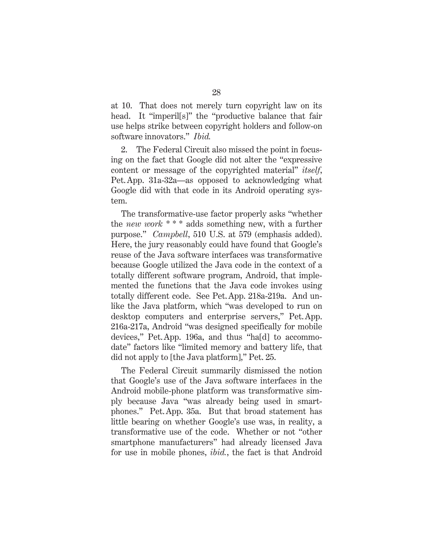at 10. That does not merely turn copyright law on its head. It "imperil<sup>[s]"</sup> the "productive balance that fair use helps strike between copyright holders and follow-on software innovators." *Ibid.*

2. The Federal Circuit also missed the point in focusing on the fact that Google did not alter the "expressive content or message of the copyrighted material" *itself*, Pet.App. 31a-32a—as opposed to acknowledging what Google did with that code in its Android operating system.

The transformative-use factor properly asks "whether the *new work* \* \* \* adds something new, with a further purpose." *Campbell*, 510 U.S. at 579 (emphasis added). Here, the jury reasonably could have found that Google's reuse of the Java software interfaces was transformative because Google utilized the Java code in the context of a totally different software program, Android, that implemented the functions that the Java code invokes using totally different code. See Pet.App. 218a-219a. And unlike the Java platform, which "was developed to run on desktop computers and enterprise servers," Pet.App. 216a-217a, Android "was designed specifically for mobile devices," Pet.App. 196a, and thus "ha[d] to accommodate" factors like "limited memory and battery life, that did not apply to [the Java platform]," Pet. 25.

The Federal Circuit summarily dismissed the notion that Google's use of the Java software interfaces in the Android mobile-phone platform was transformative simply because Java "was already being used in smartphones." Pet.App. 35a. But that broad statement has little bearing on whether Google's use was, in reality, a transformative use of the code. Whether or not "other smartphone manufacturers" had already licensed Java for use in mobile phones, *ibid.*, the fact is that Android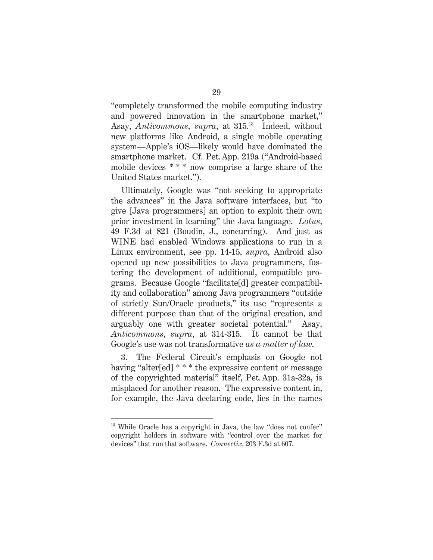"completely transformed the mobile computing industry and powered innovation in the smartphone market," Asay, *Anticommons*, *supra*, at 315.13 Indeed, without new platforms like Android, a single mobile operating system—Apple's iOS—likely would have dominated the smartphone market. Cf. Pet.App. 219a ("Android-based mobile devices \*\*\* now comprise a large share of the United States market.").

Ultimately, Google was "not seeking to appropriate the advances" in the Java software interfaces, but "to give [Java programmers] an option to exploit their own prior investment in learning" the Java language. *Lotus*, 49 F.3d at 821 (Boudin, J., concurring). And just as WINE had enabled Windows applications to run in a Linux environment, see pp. 14-15, *supra*, Android also opened up new possibilities to Java programmers, fostering the development of additional, compatible programs. Because Google "facilitate[d] greater compatibility and collaboration" among Java programmers "outside of strictly Sun/Oracle products," its use "represents a different purpose than that of the original creation, and arguably one with greater societal potential." Asay, *Anticommons*, *supra*, at 314-315. It cannot be that Google's use was not transformative *as a matter of law*.

3. The Federal Circuit's emphasis on Google not having "alter[ed] \* \* \* the expressive content or message of the copyrighted material" itself, Pet.App. 31a-32a, is misplaced for another reason. The expressive content in, for example, the Java declaring code, lies in the names

 $\overline{a}$ 

<sup>&</sup>lt;sup>13</sup> While Oracle has a copyright in Java, the law "does not confer" copyright holders in software with "control over the market for devices" that run that software. *Connectix*, 203 F.3d at 607.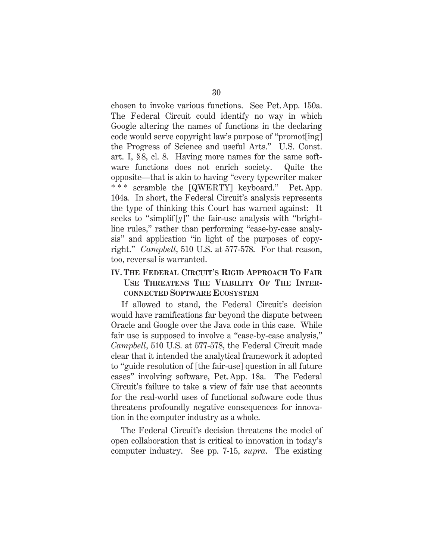chosen to invoke various functions. See Pet.App. 150a. The Federal Circuit could identify no way in which Google altering the names of functions in the declaring code would serve copyright law's purpose of "promot[ing] the Progress of Science and useful Arts." U.S. Const. art. I, § 8, cl. 8. Having more names for the same software functions does not enrich society. Quite the opposite—that is akin to having "every typewriter maker \* \* \* scramble the [QWERTY] keyboard." Pet.App. 104a*.* In short, the Federal Circuit's analysis represents the type of thinking this Court has warned against: It seeks to "simplif [y]" the fair-use analysis with "brightline rules," rather than performing "case-by-case analysis" and application "in light of the purposes of copyright." *Campbell*, 510 U.S. at 577-578. For that reason, too, reversal is warranted.

#### **IV. THE FEDERAL CIRCUIT'S RIGID APPROACH TO FAIR USE THREATENS THE VIABILITY OF THE INTER-CONNECTED SOFTWARE ECOSYSTEM**

If allowed to stand, the Federal Circuit's decision would have ramifications far beyond the dispute between Oracle and Google over the Java code in this case. While fair use is supposed to involve a "case-by-case analysis," *Campbell*, 510 U.S. at 577-578, the Federal Circuit made clear that it intended the analytical framework it adopted to "guide resolution of [the fair-use] question in all future cases" involving software, Pet.App. 18a. The Federal Circuit's failure to take a view of fair use that accounts for the real-world uses of functional software code thus threatens profoundly negative consequences for innovation in the computer industry as a whole.

The Federal Circuit's decision threatens the model of open collaboration that is critical to innovation in today's computer industry. See pp. 7-15, *supra*. The existing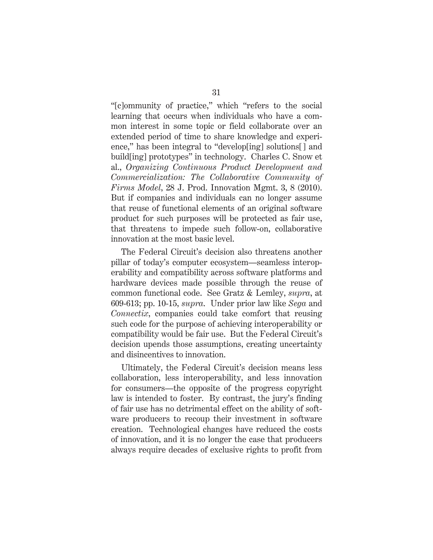"[c]ommunity of practice," which "refers to the social learning that occurs when individuals who have a common interest in some topic or field collaborate over an extended period of time to share knowledge and experience," has been integral to "develop[ing] solutions[] and build[ing] prototypes" in technology. Charles C. Snow et al., *Organizing Continuous Product Development and Commercialization: The Collaborative Community of Firms Model*, 28 J. Prod. Innovation Mgmt. 3, 8 (2010). But if companies and individuals can no longer assume that reuse of functional elements of an original software product for such purposes will be protected as fair use, that threatens to impede such follow-on, collaborative innovation at the most basic level.

The Federal Circuit's decision also threatens another pillar of today's computer ecosystem—seamless interoperability and compatibility across software platforms and hardware devices made possible through the reuse of common functional code. See Gratz & Lemley, *supra*, at 609-613; pp. 10-15, *supra*. Under prior law like *Sega* and *Connectix*, companies could take comfort that reusing such code for the purpose of achieving interoperability or compatibility would be fair use. But the Federal Circuit's decision upends those assumptions, creating uncertainty and disincentives to innovation.

Ultimately, the Federal Circuit's decision means less collaboration, less interoperability, and less innovation for consumers—the opposite of the progress copyright law is intended to foster. By contrast, the jury's finding of fair use has no detrimental effect on the ability of software producers to recoup their investment in software creation. Technological changes have reduced the costs of innovation, and it is no longer the case that producers always require decades of exclusive rights to profit from